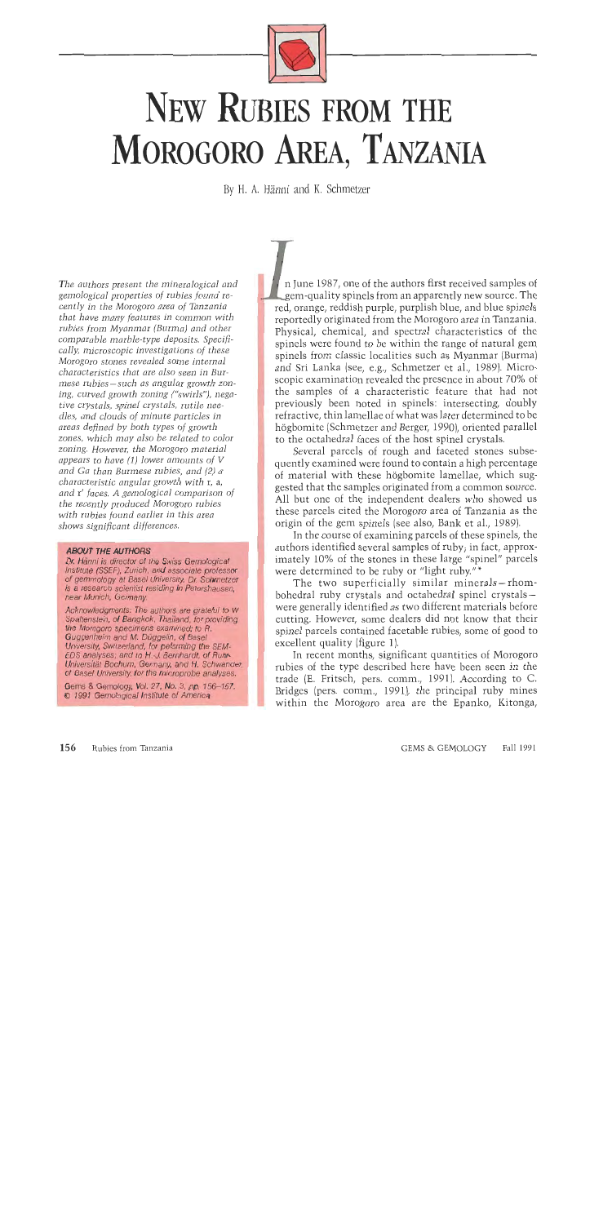

# NEW RUBIES FROM THE MOROGORO AREA, TANZANIA

**By H. A. Hanni and K.** Schmetzer

*The authors present the mineralogical and gemological properties of rubies found recently in the Morogoro area of Tanzania that have many features in common with rubies from Myanmar (Burma) and other comparable marble-type deposits. Specifically, microscopic investigations of these Morogoro stones revealed some internal characteristics that are also seen in Burmese rubies-such as angular growth zoning, curved growth zoning ("swirls"), negative crystals, spinel crystals, rutile needles, and clouds of minute particles in areas defined by both types of growth zones, which may also be related to color zoning. However, the Morogoro material appears to have (1) lower amounts of* **V**  *and Ga than Burmese rubies, and (2) a characteristic angular growth with* r, a, *and* r' *faces. A gemological comparison of the recently produced Morogoro rubies with rubies found earlier in this area shows significant differences.* 

#### **ABOUT THE AUTHORS**

Dr. Hänni is director of the Swiss Gemological Institute (SSEF), Zurich, and associate professor of gemmology at Basel University. Dr. Schmetzer is a research scientist residing in Petershausen, near Munich, Germany.

Acknowledgments: The authors are grateful to W. Spaltenstein, of Bangkok, Thailand, for providing the Morogoro specimens examined; to R. Guggenheim and M. Düggelin, of Basel University, Switzerland, for peforming the SEM-EDS analyses; and to H.-J. Bernhardt, of Ruhr-Universität Bochum, Germany, and H. Schwander, of Basel University, for the microprobe analyses.

Gems & Gemology, Vol. 27, No. 3, pp. 156-167. to 1991 Gemological Institute of America

n June 1987, one of the authors first received samples of em-quality spinels from an apparently new source. The red, orange, reddish purple, purplish blue, and blue spinels reportedly originated from the Morogoro area in Tanzania. Physical, chemical, and spectral characteristics of the spinels were found to be within the range of natural gem n June 1987, one of the authors first received samples of gem-quality spinels from an apparently new source. The red, orange, reddish purple, purplish blue, and blue spinels reportedly originated from the Morogoro area in scopic examination revealed the presence in about 70% of<br>the samples of a characteristic feature that had not the samples of a characteristic feature that had not previously been noted in spinels: intersecting, doubly refractive, thin lamellae of what was later determined to be högbomite (Schmetzer and Berger, 1990), oriented para previously been noted in spinels: intersecting, doubly refractive, thin lamellae of what was later determined to be högbomite (Schmetzer and Berger, 1990), oriented parallel to the octahedral faces of the host spinel crystals.

Several parcels of rough and faceted stones subsequently examined were found to contain a high percentage of material with these högbomite lamellae, which sug-All but one of the independent dealers who showed us<br>these parcels cited the Morogoro area of Tanzania as the<br>origin of the gem spinels (see also, Bank et al., 1989).<br>In the course of examining parcels of these spinels, th these parcels cited the Morogoro area of Tanzania as the origin of the gem spinels (see also, Bank et al., 1989).

In the course of examining parcels of these spinels, the authors identified several samples of ruby; in fact, approximately 10% of the stones in these large "spinel" parcels were determined to be ruby or "light ruby."\*

The two superficially similar minerals-rhombohedral ruby crystals and octahedral spinel crystalswere generally identified as two different materials before cutting. However, some dealers did not know that their spinel parcels contained facetable rubies, some of good to excellent quality (figure 1).

In recent months, significant quantities of Morogoro rubies of the type described here have been seen in the trade (E. Fritsch, pers. comm., 1991). According to C. Bridges (pers. comm., 1991)) the principal ruby mines within the Morogoro area are the Epanko, Kitonga,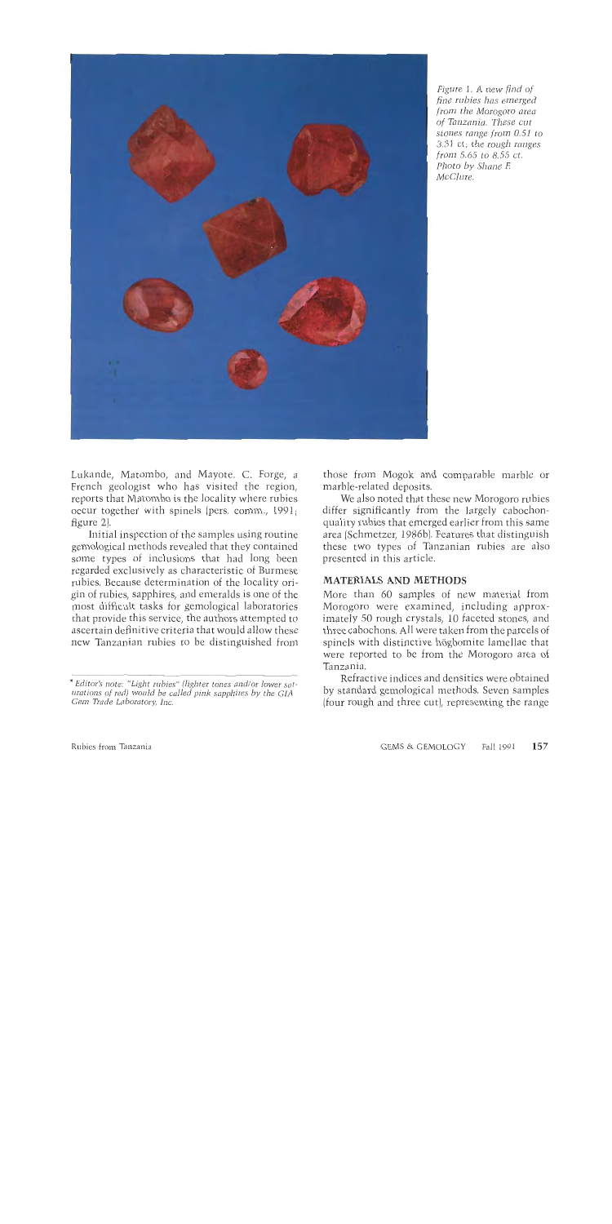

*Figure 1. A new* find *of fine rubies has emerged from the Morogoro area of Tanzania. These cut stones range from 0.51 to 3.31 ct; the rough ranges from* 5.65 *to* 8.55 *ct. Photo by Shane E McClure.* 

Lukande, Matombo, and Mayote. C. Forge, a French geologist who has visited the region, reports that Matombo is the locality where rubies occur together with spinels (pers. comm., 1991; figure 2).

Initial inspection of the samples using routine gemological methods revealed that they contained some types of inclusions that had long been regarded exclusively as characteristic of Burmese rubies. Because determination of the locality origin of rubies, sapphires, and emeralds is one of the most difficult tasks for gemological laboratories that provide this service, the authors attempted to ascertain definitive criteria that would allow these new Tanzanian rubies to be distinguished from

those from Mogok and comparable marble or marble-related deposits.

We also noted that these new Morogoro rubies differ significantly from the largely cabochonquality rubies that emerged earlier from this same area (Schmetzer, 1986b). Features that distinguish these two types of Tanzanian rubies are also presented in this article.

### **MATERIALS AND METHODS**

More than 60 samples of new material from Morogoro were examined, including approximately 50 rough crystals, 10 faceted stones, and three cabochons. All were taken from the parcels of spinels with distinctive hogbomite lamellae that were reported to be from the Morogoro area of Tanzania.

Refractive indices and densities were obtained by standard gemological methods. Seven samples (four rough and three cut), representing the range

*Editor's note: "Light rubies" (lighter tones and/or lower saturations of red) would be called* **pink** *sapphires by the GIA Cern Trade Laboratory, lac.*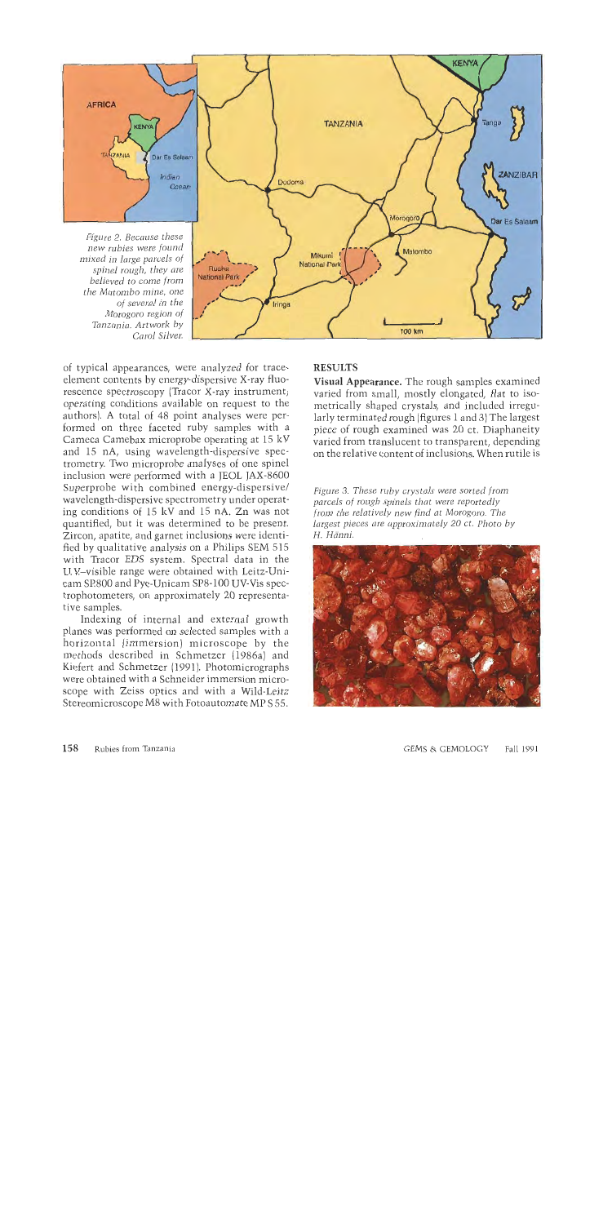

of typical appearances, were analyzed for traceelement contents by energy-dispersive X-ray fluorescence spectroscopy (Tracor X-ray instrument; operating conditions available on request to the authors). A total of 48 point analyses were performed on three faceted ruby samples with a Cameca Camebax microprobe operating at 15 kV and 15 nA, using wavelength-dispersive spectrometry. Two microprobe analyses of one spinel inclusion were performed with a JEOL JAX-8600 Superprobe with combined energy-dispersive/ wavelength-dispersive spectrometry under operating conditions of 15 kV and 15 nA. Zn was not quantified, but it was determined to be present. Zircon, apatite, and garnet inclusions were identified by qualitative analysis on a Philips SEM 515 with Tracor EDS system. Spectral data in the U.V-visible range were obtained with Leitz-Unicam SE800 and Pye-Unicam SP8-100 UV-Vis spectrophotometers, on approximately 20 representative samples.

Indexing of internal and external growth planes was performed on selected samples with a horizontal (immersion) microscope by the methods described in Schmetzer (1986a) and Kiefert and Schmetzer (1991). Photomicrographs were obtained with a Schneider immersion microscope with Zeiss optics and with a Wild-Leitz Stereomicroscope M8 with Fotoautomate MP S 55.

## RESULTS

Visual Appearance. The rough samples examined varied from small, mostly elongated, flat to isometrically shaped crystals, and included irregularly terminated rough (figures 1 and **3)** The largest piece of rough examined was 20 ct. Diaphaneity varied from translucent to transparent, depending on the relative content of inclusions. When rutile is

*Figure* **3.** *These ruby crystals were sorted from parcels of rough spinels that were reportedly from the relatively new find at Morogoro. The largest pieces are approximately 20 ct. Photo by H. Hdnni.* 

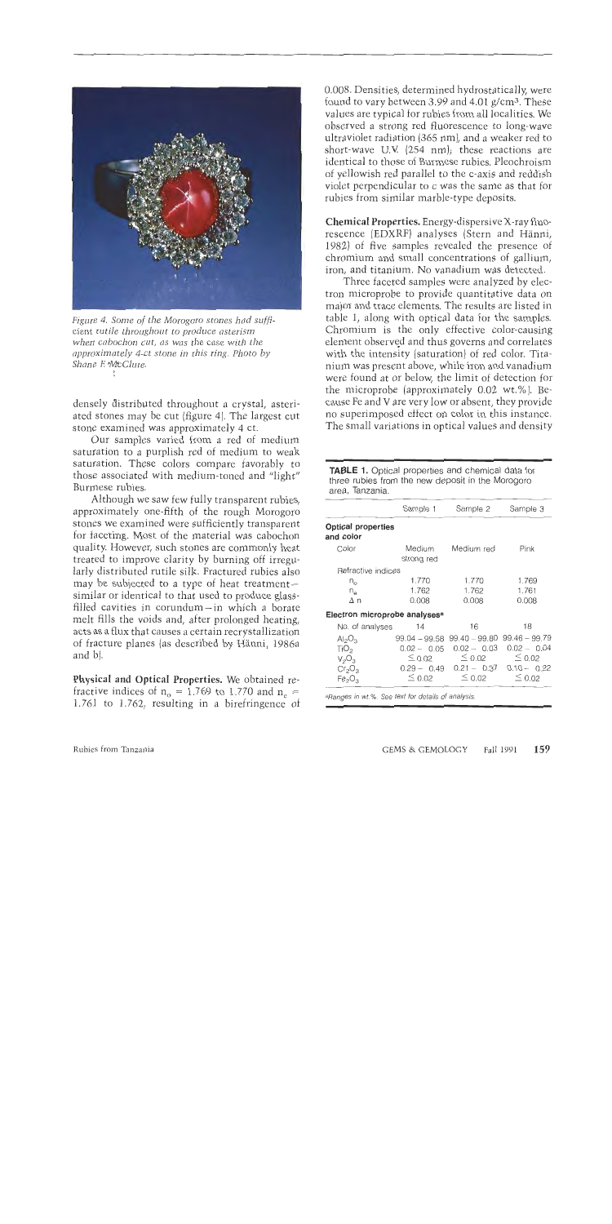

*Figure 4. Some of ihe Morogoro stones had sufficient rutile throughout to produce asterism when cabochon cut, as was the case with the approximately 4-ct stone in this ring. Photo by Shane F. \*MtClure.* 

densely distributed throughout a crystal, asteriated stones may be cut (figure 4). The largest cut stone examined was approximately 4 ct.

Our samples varied from a red of medium saturation to a purplish red of medium to weak saturation. These colors compare favorably to those associated with medium-toned and "light" Burmese rubies.

Although we saw few fully transparent rubies, approximately one-fifth of the rough Morogoro stones we examined were sufficiently transparent for faceting. Most of the material was cabochon quality. However, such stones are commonly heat treated to improve clarity by burning off irregularly distributed rutile silk. Fractured rubies also may be subjected to a type of heat treatmentsimilar or identical to that used to produce glassfilled cavities in corundum-in which a borate melt fills the voids and, after prolonged heating, acts as a flux that causes a certain recrystallization of fracture planes (as described by Hanni, 1986a and b).

**Physical and Optical Properties.** We obtained refractive indices of  $n_o = 1.769$  to 1.770 and  $n_e =$ 1.761 to 1.762, resulting in a birefringence of 0.008. Densities, determined hydrostatically, were found to vary between 3.99 and 4.01  $g/cm^3$ . These values are typical for rubies from all localities. We observed a strong red fluorescence to long-wave ultraviolet radiation (365 nm), and a weaker red to short-wave U.V (254 nm); these reactions are identical to those of Burmese rubies. Pleochroisn~ of yellowish red parallel to the c-axis and reddish violet perpendicular to c was the same as that for rubies from similar marble-type deposits.

**Chemical Properties.** Energy-dispersive X-ray fluorescence (EDXRF] analyses (Stern and Hanni, 1982) of five samples revealed the presence of chromium and small concentrations of gallium, iron, and titanium. No vanadium was detected.

Three faceted samples were analyzed by electron microprobe to provide quantitative data on major and trace elements. The results are listed in table 1, along with optical data for the samples. Chromium is the only effective color-causing element observed and thus governs and correlates with the intensity (saturation) of red color. Titanium was present above, while iron and vanadium were found at or below, the limit of detection for the microprobe (approximately 0.02 wt.%). Because Fe and V are very low or absent, they provide no superimposed effect on color in this instance. The small variations in optical values and density

**TABLE** 1. Optical properties and chemical data for three rubies from the new deposit in the Morogoro area, Tanzania.

|                                           | Sample 1             | Sample 2                                        | Sample 3      |
|-------------------------------------------|----------------------|-------------------------------------------------|---------------|
| <b>Optical properties</b><br>and color    |                      |                                                 |               |
| Color                                     | Medium<br>strong red | Medium red                                      | Pink          |
| Refractive indices                        |                      |                                                 |               |
| $n_{\rm o}$                               | 1.770                | 1.770                                           | 1.769         |
| $n_{\rm e}$                               | 1.762                | 1.762                                           | 1.761         |
| Δη                                        | 0.008                | 0.008                                           | 0.008         |
| Electron microprobe analyses <sup>a</sup> |                      |                                                 |               |
| No. of analyses                           | 14                   | 16                                              | 18            |
| $Al_2O_3$                                 |                      | $99.04 - 99.58$ $99.40 - 99.80$ $99.46 - 99.79$ |               |
| TiO <sub>2</sub>                          |                      | $0.02 - 0.05$ $0.02 - 0.03$                     | $0.02 - 0.04$ |
| $V_2O_3$                                  | $\leq$ 0.02          | $\leq$ 0.02                                     | $\leq 0.02$   |
| $Cr_2O_3$                                 |                      | $0.29 - 0.49$ $0.21 - 0.37$ $0.10 - 0.22$       |               |
| Fe <sub>2</sub> O <sub>3</sub>            | $\leq$ 0.02          | $\leq$ 0.02                                     | $\leq$ 0.02   |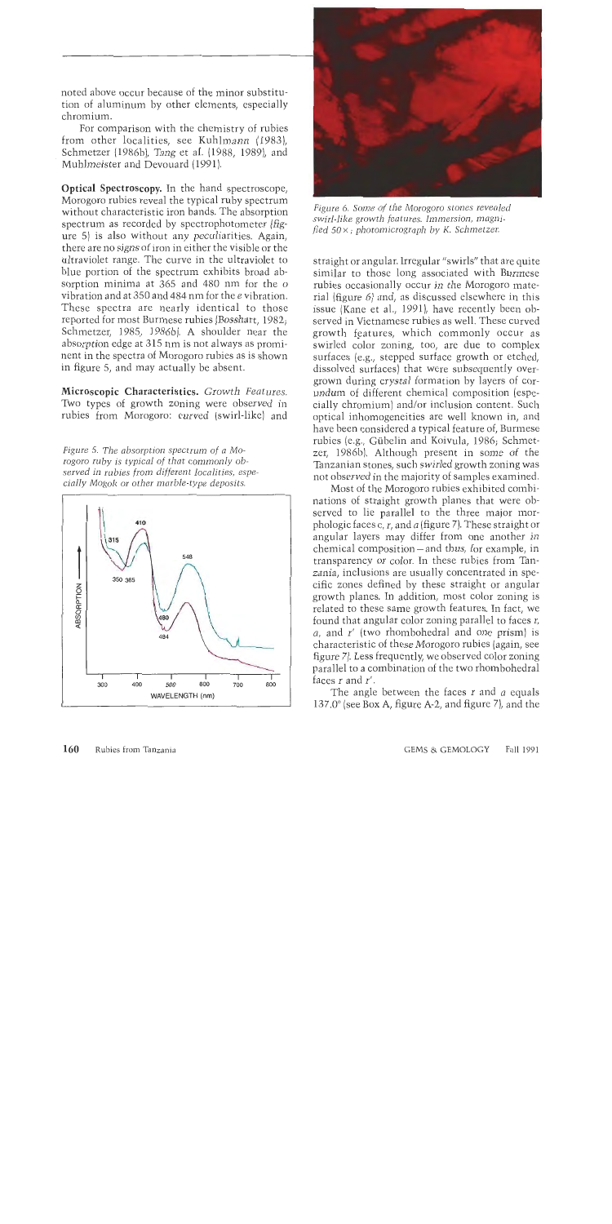noted above occur because of the minor substitution of aluminum by other elements, especially chromium.

For comparison with the chemistry of rubies from other localities, see Kuhlmann (1983)) Schmetzer (1986b), Tang et al. (1988, 1989), and Muhlmeister and Devouard (1991).

Optical Spectroscopy. In the hand spectroscope, Morogoro rubies reveal the typical ruby spectrum without characteristic iron bands. The absorption spectrum as recorded by spectrophotometer (figure 5) is also without any peculiarities. Again, there are no signs of iron in either the visible or the ultraviolet range. The curve in the ultraviolet to blue portion of the spectrum exhibits broad absorption minima at 365 and 480 nm for the *o*  vibration and at 350 and 484 nm for the e vibration. These spectra are nearly identical to those reported for most Burmese rubies (Bosshart, 1982; Schmetzer, 1985, 1986b). A shoulder near the absorption edge at 315 nm is not always as prominent in the spectra of Morogoro rubies as is shown in figure 5, and may actually be absent.

Microscopic Characteristics. *Growth Features.*  Two types of growth zoning were observed in rubies from Morogoro: curved (swirl-like) and

*Figure* 5. *The absorption spectrum of a Morogoro ruby is typical of that commonly observed in rubies from different localities, especially Mogok or other marble-type deposits.* 





*Figure 6. Some of the Morogoro stones revealed swirl-like growth features. Immersion, magnifled* SOX; *photomicrograph by K. Schmetzer.* 

straight or angular. Irregular "swirls" that are quite similar to those long associated with Burmese rubies occasionally occur in the Morogoro material (figure 6) and, as discussed elsewhere in this issue (Kane et al., 1991), have recently been observed in Vietnamese rubies as well. These curved growth features, which commonly occur as swirled color zoning, too, are due to complex surfaces (e.g., stepped surface growth or etched, dissolved surfaces) that were subsequently overgrown during crystal formation by layers of corundum of different chemical composition (especially chromium) and/or inclusion content. Such optical inhomogeneities are well known in, and have been considered a typical feature of, Burmese rubies (e.g., Gübelin and Koivula, 1986; Schmetzer, 1986b). Although present in some of the Tanzanian stones, such swirled growth zoning was not observed in the majority of samples examined.

Most of the Morogoro rubies exhibited combinations of straight growth planes that were observed to lie parallel to the three major morphologic faces c, r, and *a* (figure 7). These straight or angular layers may differ from one another in chemical composition - and thus, for example, in transparency or color. In these rubies from Tanzania, inclusions are usually concentrated in specific zones defined by these straight or angular growth planes. In addition, most color zoning is related to these same growth features. In fact, we found that angular color zoning parallel to faces *r, a,* and *r'* (two rhombohedral and one prism) is characteristic of these Morogoro rubies (again, see figure 7). Less frequently, we observed color zoning parallel to a combination of the two rhombohedral faces r and r'.

The angle between the faces r and a equals  $137.0^{\circ}$  (see Box A, figure A-2, and figure 7), and the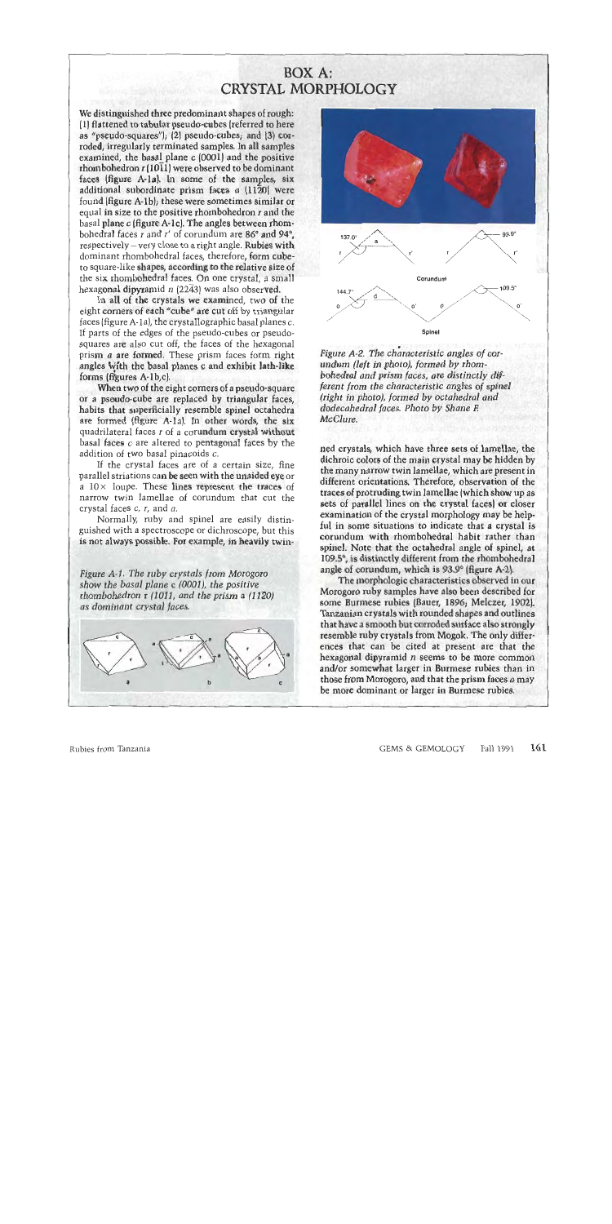## **BOX A:** CRYSTAL MORPHOLOGY

We distinguished three predominant shapes of rough: (1) flattened to tabular pseudo-cubes (referred to here as "pseudo-squares"); (2) pseudo-cubes; and (3) corroded, irregularly terminated samples. In all samples examined, the basal plane *c* (0001) and the **positive**  rhombohedron *r* (1011) were observed to be dominant faces (figure A-la]. In some of the samples, **six**  additional subordinate prism faces *a* (1120) were found [figure A-lb); these were sometimes similar or equal in size to the positive rhombohedron *r* and the basal plane *c* (figure A-lc]. The angles between rhombohedral faces *r* and *r'* of corundum are 86° and 94°. respectively – very close to a right angle. **Rubies with** dominant rhombohedral faces, therefore, form cubeto square-like **shapes, according to the** relative size of the six rhombohedral faces. On one crystal, a small hexagonal dipyramid **11** (2243) was also observed.

*i''\*,-S^\*fe\*S^fe^l'-~"* -;.'

In all of the crystals we examined, two of the eight comers of each "cube" are cut off by triangular faces (figure A-la), the crystallographic basal planes c. If parts of the edges of the pseudo-cubes or pseudosquares are also cut off, the faces of the hexagonal prism *a* are formed. These prism faces form right angles with the basal planes *c* and exhibit lath-like forms  $\left(\text{figures A-1b.c}\right)$ .

When two of the eight corners of a pseudo-square or a pseudo-cube are replaced by triangular faces, habits that superficially resemble spinel octahedra are formed (figure **A-la).** In other words, the six" quadrilateral faces *r* of a corundum crystal **~ithout**  basal faces c are altered to pentagonal faces by the addition of two basal pinacoids c.

If the crystal faces are of a certain size, fine parallel striations ca**n be seen with the unaided eye** or a  $10 \times$  loupe. These lines represent the traces of narrow twin lamellae of corundum that cut the crystal faces c, *r,* and *a,* 

Normally, ruby and spinel are easily distinguished with a spectroscope or dichroscope, but this is not always possible. For example, in heavily twin-

**&me** *A-I, The ruby crystals from Morogoro*  show the basal plane *c* (0001), the positive *rhombohedron* r (1011, and *the*   $as$  dominant crystal faces.





*Figure A-2. The characteristic angles of cor- ...*<br>*undum (left in photo), formed by rhombohedral and prism faces, are distinctly dif*ferent from the characteristic angles of *spinel (right* in *photo), formed by octahedral and dodecahedra1 faces. Photo by Shane F.* 

ned crystals, which have three sets of lamellae, the dichroic colors of the main crystal may be hidden by the many narrow twin lamellae, which are present in different orientations. Therefore, observation of the traces of protruding twin lannellae (which show un as sets of parallel lines on the crystal faces) **or** closer exampination of the crystal monphology may be helpful in some situations to indicate that a crystal is corundum with thombohedral habit rather than spinel. Note that the octahedral angle of spinel, **at**  109.5°, is distinctly different from the rhombohedral angle of **corumlum,** which **is 93.P** (figure **Ar2)** 

The morphologic characteristics observed in our Morogoro ruby **(ample?** have **also been described** for some Burmese rubies (Bauer, 1896; Melczer, 1902). Taritdnidn c~ystals **with** rounded **shçpe and outline6**  that **have A ~mooth but cormled** surface **also strongly**  resemble ruby crystals from Mogok. The only differences that can be cited at present are that the hexagonal dipyramid *n* seems to be more common and/or somewhat larger in Burmese rubies than in those from Morogoro, and that the prism faces *a* may be more dominant or larger in Burmese rubies.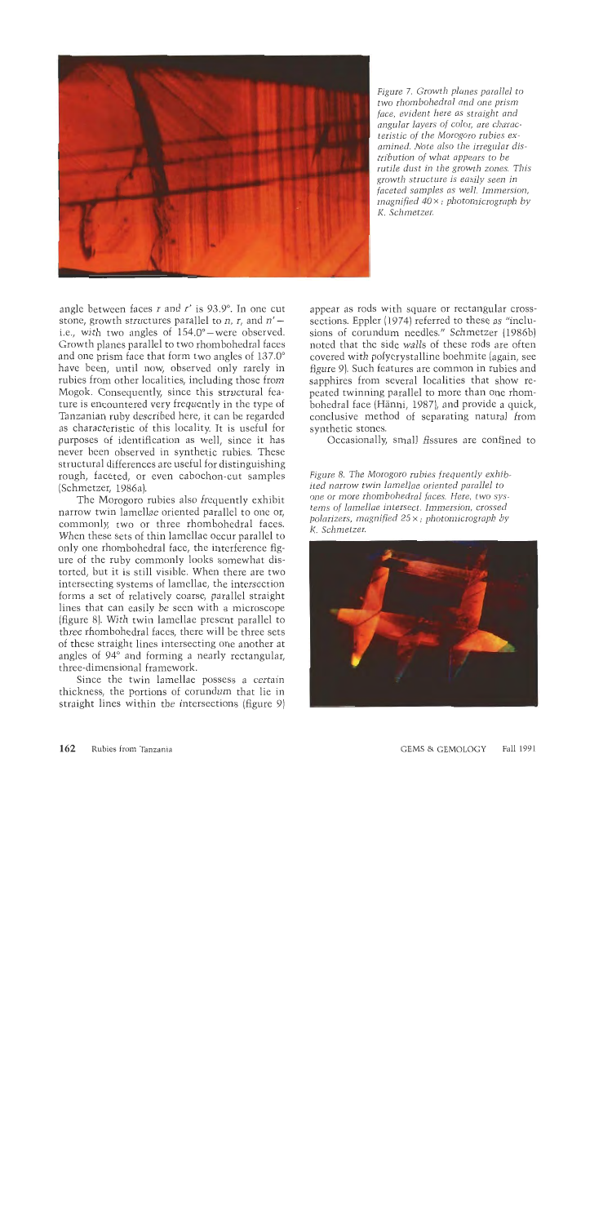

*Figure 7. Growth planes parallel to two rhom bohedral and one prism face, evident here as straight and angular layers of color, are characteristic of the Morogoro rubies ex*amined. Note also the *irregular distribution of what appears to be rutile dust in the growth zones. This growth structure is easily seen in faceted samples as well. Immersion, magnified 40* **x** ; *photomicrograph by K. Schmetzer.* 

angle between faces r and *r'* is 93.9'. In one cut stone, growth structures parallel to *n*, *r*, and  $n'$  – i.e., with two angles of  $154.0^{\circ}$  were observed. Growth planes parallel to two rhombohedral faces and one prism face that form two angles of 137.0' have been, until now, observed only rarely in rubies from other localities, including those from Mogok. Consequently, since this structural feature is encountered very frequently in the type of Tanzanian ruby described here, it can be regarded as characteristic of this locality. It is useful for purposes of identification as well, since it has never been observed in synthetic rubies. These structural differences are useful for distinguishing rough, faceted, or even cabochon-cut samples (Schmetzer, 1986a).

The Morogoro rubies also frequently exhibit narrow twin lamellae oriented parallel to one or, commonly, two or three rhombohedral faces. When these sets of thin lamellae occur parallel to only one rhombohedral face, the interference figure of the ruby commonly looks somewhat distorted, but it is still visible. When there are two intersecting systems of lamellae, the intersection forms a set of relatively coarse, parallel straight lines that can easily be seen with a microscope (figure 8). With twin lamellae present parallel to three rhombohedral faces, there will be three sets of these straight lines intersecting one another at angles of 94' and forming a nearly rectangular, three-dimensional framework.

Since the twin lamellae possess a certain thickness, the portions of corundum that lie in straight lines within the intersections (figure 9) appear as rods with square or rectangular crosssections. Eppler (1974) referred to these as "inclusions of corundum needles." Schmetzer (1986b) noted that the side walls of these rods are often covered with polycrystalline boehmite (again, see figure 9). Such features are common in rubies and sapphires from several localities that show repeated twinning parallel to more than one rhombohedral face (Hanni, 1987), and provide a quick, conclusive method of separating natural from synthetic stones.

Occasionally, small fissures are confined to

*Figure 8. The Morogoro rubies frequently exhibited narrow twin lamellae oriented parallel to one or more rhombohedral faces. Here, two systems of lamellae intersect. Immersion, crossed polarizers, magnified 25* x ; *photomicrograph by I<. Schmetzer.* 

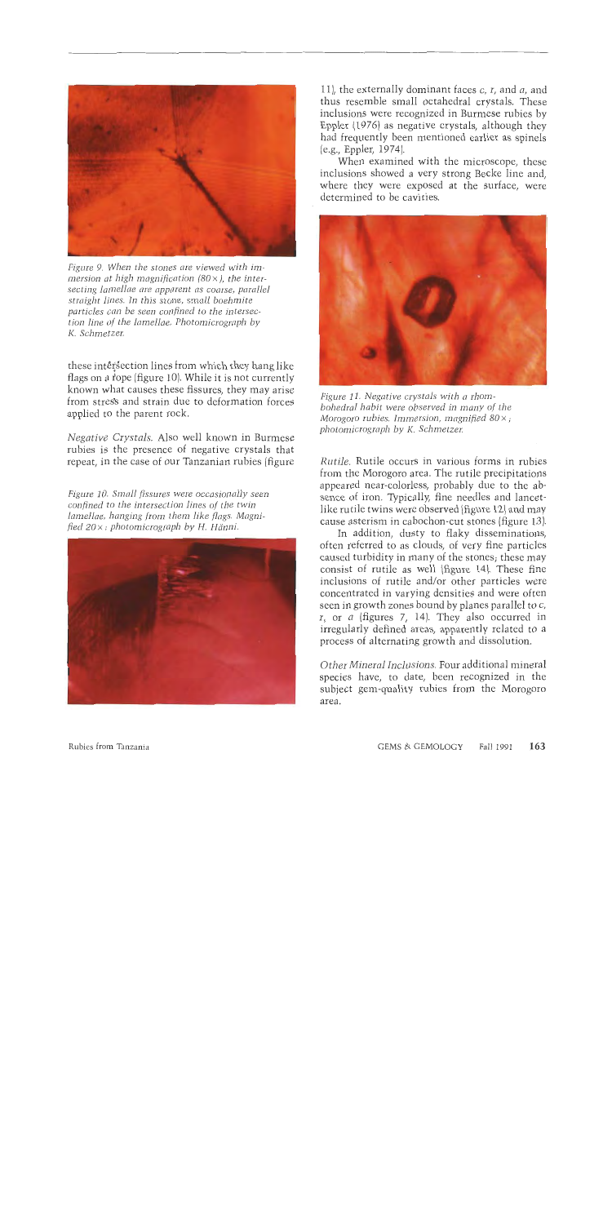

*Figure 9. When the stones are viewed with immersion at high magnification*  $(80 \times)$ *, the inter*secting lamellae are apparent as coarse, parallel *straight lines. In this stone, small boehmite particles can be seen confined to the intersection line of the lamellae. Photomicrograph by K. Schmetzer.* 

these intersection lines from which they hang like flags on a tope (figure 10). While it is not currently known what causes these fissures, they may arise from stres's and strain due to deformation forces applied to the parent rock.

*Negative Crystals.* Also well known in Burmese rubies is the presence of negative crystals that repeat, in the case of our Tanzanian rubies (figure

*Figure 10. Small fissures were occasionally seen confined to the intersection lines of the twin lamellae, hanging from them like flags. Magnified* 20x ; *photomicrograph by H. Hanni.* 



ll), the externally dominant faces c, *r,* and *a,* and thus resemble small octahedral crystals. These inclusions were recognized in Burmese rubies by Eppler (1976) as negative crystals, although they had frequently been mentioned earlier as spinels (e.g., Eppler, 1974).

When examined with the microscope, these inclusions showed a very strong Becke line and, where they were exposed at the surface, were determined to be cavities.



*Figure* 11. *Negative crystals with a rhombohedral habit were observed in many of the Morogoro rubies. Immersion, magnified 80* x ; *photomicrograph by K. Schmetzer.* 

*Rutile.* Rutile occurs in various forms in rubies from the Morogoro area. The rutile precipitations appeared near-colorless, probably due to the absence of iron. Typically, fine needles and lancetlike rutile twins were observed (figure 12) and may cause asterism in cabochon-cut stones (figure 13).

In addition, dusty to flaky disseminations, often referred to as clouds, of very fine particles caused turbidity in many of the stones; these may consist of rutile as well (figure 14). These fine inclusions of rutile and/or other particles were concentrated in varying densities and were often seen in growth zones bound by planes parallel to c, *r,* or a (figures 7, 14). They also occurred in irregularly defined areas, apparently related to a process of alternating growth and dissolution.

*Other Mineral Inclusions.* Four additional mineral species have, to date, been recognized in the subject gem-quality rubies from the Morogoro area.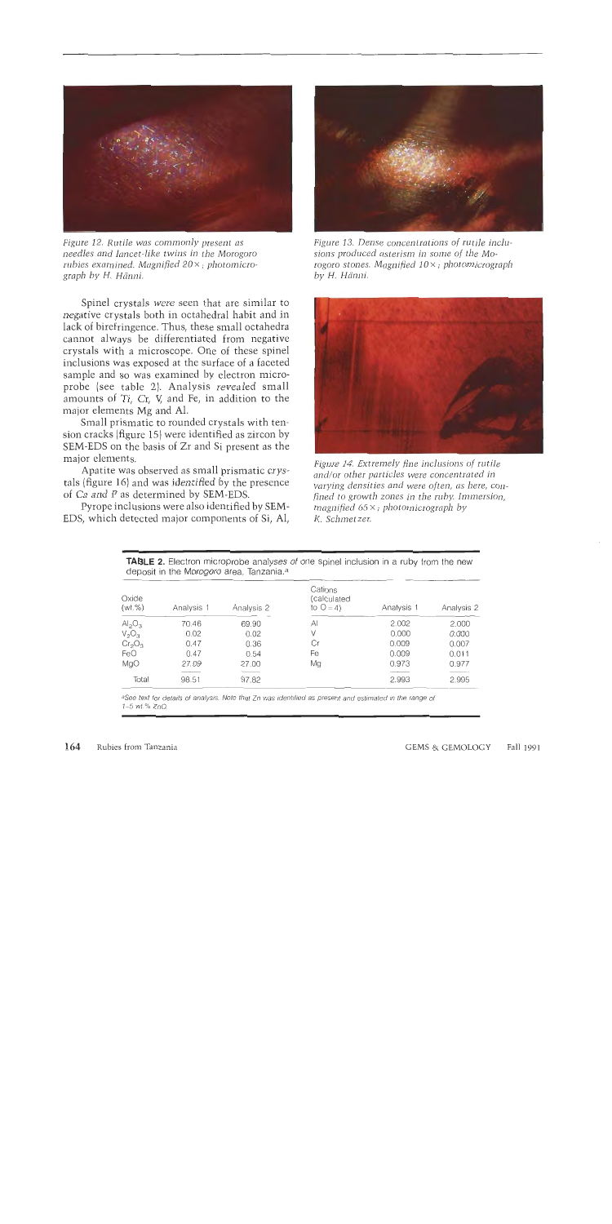

*rubies examined. Magnified 20*  $\times$  ; *photomicro-* rogoro stones.<br>*graph by H. Hänni. by H. Hänni. graph by* H. *Hcinni. by* H. Hcinni.

Spinel crystals were seen that are similar to negative crystals both in octahedral habit and in lack of birefringence. Thus, these small octahedra cannot always be differentiated from negative crystals with a microscope. One of these spinel inclusions was exposed at the surface of a faceted sample and so was examined by electron microprobe (see table 2). Analysis revealed small amounts of Ti, Cr, Y and Fe, in addition to the major elements Mg and Al.

Small prismatic to rounded crystals with tension cracks (figure 15) were identified as zircon by SEM-EDS on the basis of Zr and Si present as the major elements.

Apatite was observed as small prismatic crystals (figure 16) and was identified by the presence of Ca and P as determined by SEM-EDS.

Pyrope inclusions were also identified by SEM-EDS, which detected major components of Si, Al,



*Figure 12. Rutile was commonly present as* Figure 13. Dense concentrations of rutile incluneedles and lancet-like twins in the Morogoro sions produced asterism in some of the Moneedles and lancet-like twins in the Morogoro sions produced asterism in some of the Mo-<br>
rubies examined. Magnified 20×; photomicro- rogoro stones. Magnified 10×; photomicrograph



*Figure 14. Extremely fine inclusions of rutiJe and/or other particles were concentrated in varying densities and were often, us here, con fined to growth zones in the ruby. Immersion, magnified* 65 x ; *photomicrograph by I<. Schmet zer.* 

**TABLE 2.** *Electron microprobe analyses of one spinel inclusion in a ruby from the new deposit in the* Morogoro *area, Tanzania.3* 

| Oxide<br>(wt. %)               | Analysis 1 | Analysis 2 | Cations<br>(calculated<br>to $Q = 4$ | Analysis 1 | Analysis 2 |
|--------------------------------|------------|------------|--------------------------------------|------------|------------|
| Al <sub>2</sub> O <sub>3</sub> | 70.46      | 69.90      | $\mathsf{A}$                         | 2.002      | 2.000      |
| $V_2O_3$                       | 0.02       | 0.02       | V                                    | 0.000      | 0.000      |
| Cr <sub>2</sub> O <sub>3</sub> | 0.47       | 0.36       | Сr                                   | 0.009      | 0.007      |
| FeO                            | 0.47       | 0.54       | Fe                                   | 0.009      | 0.011      |
| MgO                            | 27.09      | 27.00      | Mg                                   | 0.973      | 0.977      |
| <b>Total</b>                   | 98.51      | 97.82      |                                      | 2.993      | 2.995      |
|                                |            |            |                                      |            |            |

®See text for details of analysis. Note that Zn was identified as present and estimated in the range of **1-5 wt.%** ZnO.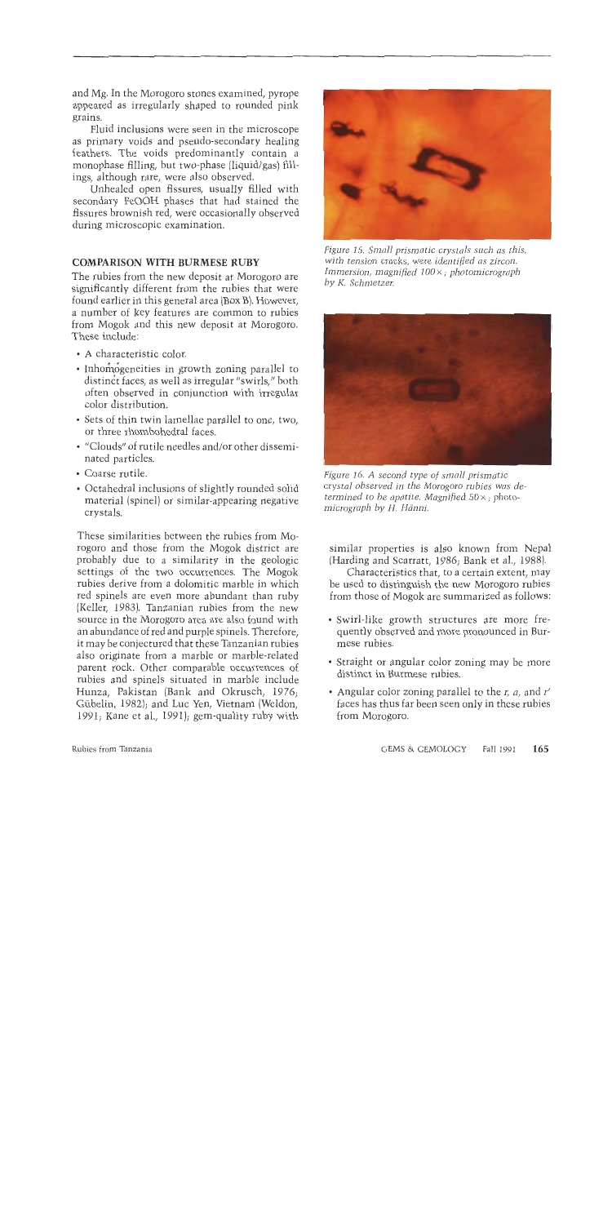and Mg. In the Morogoro stones examined, pyrope appeared as irregularly shaped to rounded pink grains.

Fluid inclusions were seen in the microscope as primary voids and pseudo-secondary healing feathers. The voids predominantly contain a monophase filling, but two-phase (liquid/gas) fillings, although rare, were also observed.

Unhealed open fissures, usually filled with secondary FeOOH phases that had stained the fissures brownish red, were occasionally observed during microscopic examination.

## **COMPARISON WITH BURMESE RUBY**

The rubies from the new deposit at Morogoro are significantly different from the rubies that were found earlier in this general area (Box B). However, a number of key features are common to rubies from Mogok and this new deposit at Morogoro. These include:

- A characteristic color.
- Inhomogeneities in growth zoning parallel to distinct faces, as well as irregular "swirls," both often observed in conjunction with irregular color distribution.
- Sets of thin twin lamellae parallel to one, two, or three rhombohedra1 faces.
- "Clouds" of rutile needles and/or other disseminated particles.
- Coarse rutile.
- Octahedral inclusions of slightly rounded solid material (spinel) or similar-appearing negative crystals.

These similarities between the rubies from Morogoro and those from the Mogok district are probably due to a similarity in the geologic settings of the two occurrences. The Mogok rubies derive from a dolomitic marble in which red spinels are even more abundant than ruby [Keller, 1983). Tanzanian rubies from the new source in the Morogoro area are also found with an abundance of red and purple spinels. Therefore, it may be conjectured that these Tanzanian rubies also originate from a marble or marble-related parent rock. Other comparable occurrences of rubies and spinels situated in marble include Hunza, Pakistan (Bank and Okrusch, 1976; Gübelin, 1982); and Luc Yen, Vietnam (Weldon, 1991; Kane et al., 1991); gem-quality ruby with



*Figure 15. Small prismatic crystals such as this, with tension cracks, were identified as zircon. Immersion, magnified 100* x ; *photomicrograph by K. Schmetzer.* 



*Figure 16. A second type of small prismatic crystal observed in the Morogoro rubies was determined to be apatite. Magnified 50* x ; *photomicrograph by H. Hanni.* 

similar properties is also known from Nepal (Harding and Scarratt, 1986; Bank et al., 1988).

Characteristics that, to a certain extent, may be used to distinguish the new Morogoro rubies from those of Mogok are summarized as follows:

- Swirl-like growth structures are more frequently observed and more pronounced in Burmese rubies.
- Straight or angular color zoning may be more distinct in Burmese rubies.
- Angular color zoning parallel to the *r,* a, and *r'*  faces has thus far been seen only in these rubies from Morogoro.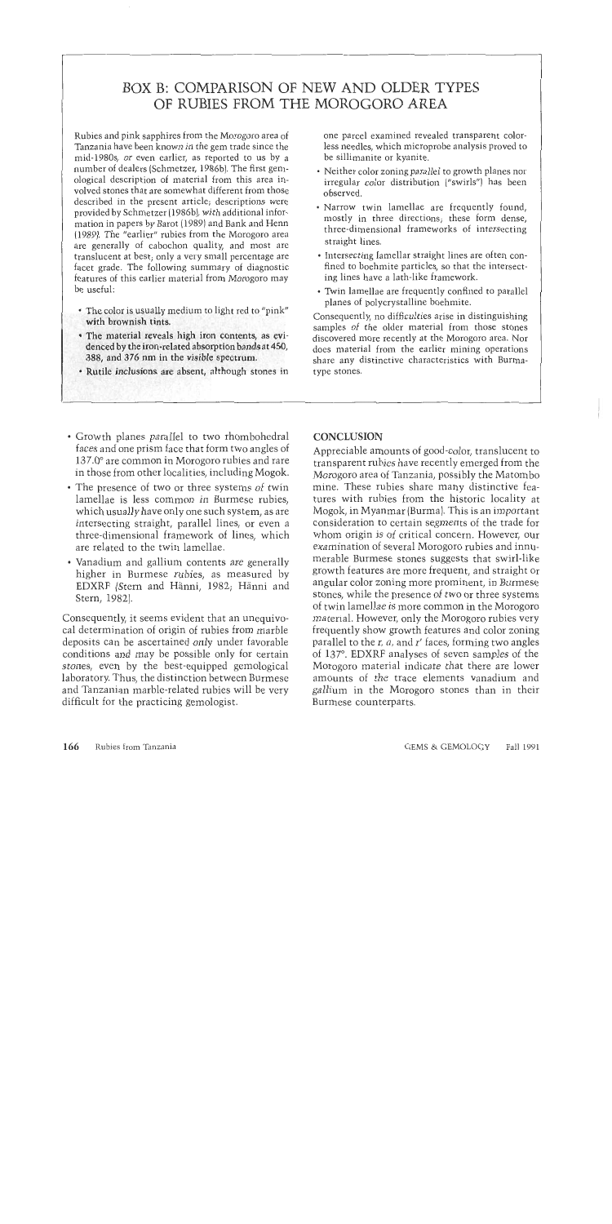# BOX B: COMPARISON OF NEW AND OLDER TYPES OF RUBIES FROM THE MOROGORO AREA

Rubies and pink sapphires from the Morogoro area of Tanzania have been known in the gem trade since the mid-1980s, or even earlier, as reported to us by a number of dealers (Schmetzer, 1986b). The first gemological description of material from this area involved stones that are somewhat different from those described in the present article; descriptions were provided by Schmetzer (1986b), with additional information in papers by Barot (1989) and Bank and Henn (1989). The "earlier" rubies from the Morogoro area are generally of cabochon quality, and most are translucent at best; only a very small percentage are facet grade. The following summary of diagnostic features of this earlier material from Morogoro may be useful:

- The color is usually medium to light red to "pink" with brownish tints.
- The material reveals high iron contents, as evidenced by the iron-related absorption bands at 450, 388, and **376** nm in the visible spectrum.
- Rutile inclusions are absent, although **s** tones in

one parcel examined revealed transparent colorless needles, which microprobe analysis proved to be sillimanite or kvanite.

- Neither color zoning parallel to growth planes nor irregular color distribution ("swirls"] has been observed.
- Narrow twin lamellae are frequently found, mostly in three directions; these form dense, three-dimensional frameworks of intersecting straight lines.
- Intersecting lamellar straight lines are often confined to boehmite particles, so that the intersecting lines have a lath-like framework.
- Twin lamellae are frequently confined to parallel planes of polycrystalline boehmite.

Consequently, no difficulties arise in distinguishing samples of the older material from those stones discovered more recently at the Morogoro area. Nor does material from the earlier mining operations share any distinctive characteristics with Burmatype stones.

- Growth planes parallel to two rhombohedra1 faces and one prism face that form two angles of 137.0' are common in Morogoro rubies and rare in those from other localities, including Mogok.
- The presence of two or three systems of twin lamellae is less common in Burmese rubies, which usually have only one such system, as are intersecting straight, parallel lines, or even a three-dimensional framework of lines, which are related to the twin lamellae.
- Vanadium and gallium contents are generally higher in Burmese rubies, as measured by EDXRF (Stern and Hanni, 1982; Hanni and Stern, 1982).

Consequently, it seems evident that an unequivocal determination of origin of rubies from marble deposits can be ascertained only under favorable conditions and may be possible only for certain stones, even by the best-equipped gemological laboratory. Thus, the distinction between Burmese and Tanzanian marble-related rubies will be very difficult for the practicing gemologist.

## **CONCLUSION**

Appreciable amounts of good-color, translucent to transparent rubies have recently emerged from the Morogoro area of Tanzania, possibly the Matombo mine. These rubies share many distinctive features with rubies from the historic locality at Mogok, in Myanmar (Burma). This is an important consideration to certain segments of the trade for whom origin is of critical concern. However, our examination of several Morogoro rubies and innumerable Burmese stones suggests that swirl-like growth features are more frequent, and straight or angular color zoning more prominent, in Burmese stones, while the presence of two or three systems of twin lamellae is more common in the Morogoro material. However, only the Morogoro rubies very frequently show growth features and color zoning parallel to the *r, a,* and *r'* faces, forming two angles of 137. EDXRF analyses of seven samples of the Morogoro material indicate that there are lower amounts of the trace elements vanadium and gallium in the Morogoro stones than in their Burmese counterparts.